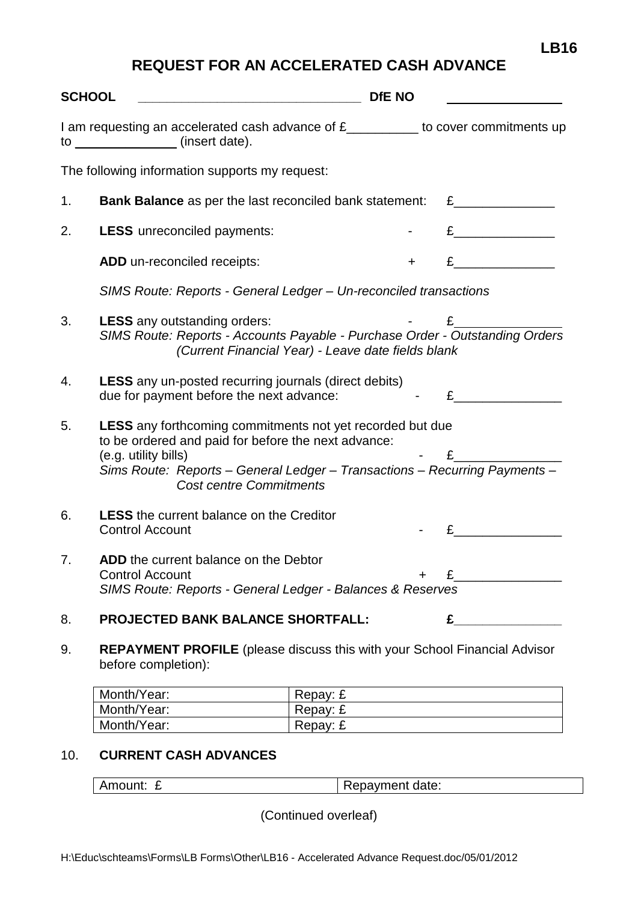## **REQUEST FOR AN ACCELERATED CASH ADVANCE**

| <b>SCHOOL</b><br><u> Alexandria (Alexandria Control de Alexandria Control de Alexandria Control de Alexandria Control de Alexandri</u> |                                                                                                                                                                                                                                                                 | <b>DfE NO</b> |                   |  |
|----------------------------------------------------------------------------------------------------------------------------------------|-----------------------------------------------------------------------------------------------------------------------------------------------------------------------------------------------------------------------------------------------------------------|---------------|-------------------|--|
|                                                                                                                                        | I am requesting an accelerated cash advance of £_________ to cover commitments up<br>to _______________(insert date).                                                                                                                                           |               |                   |  |
|                                                                                                                                        | The following information supports my request:                                                                                                                                                                                                                  |               |                   |  |
| 1.                                                                                                                                     | Bank Balance as per the last reconciled bank statement:                                                                                                                                                                                                         |               | $E \qquad \qquad$ |  |
| 2.                                                                                                                                     | <b>LESS</b> unreconciled payments:                                                                                                                                                                                                                              |               |                   |  |
|                                                                                                                                        | ADD un-reconciled receipts:                                                                                                                                                                                                                                     | $+$           | $E$ $\qquad$      |  |
|                                                                                                                                        | SIMS Route: Reports - General Ledger - Un-reconciled transactions                                                                                                                                                                                               |               |                   |  |
| 3.                                                                                                                                     | <b>LESS</b> any outstanding orders:<br>SIMS Route: Reports - Accounts Payable - Purchase Order - Outstanding Orders<br>(Current Financial Year) - Leave date fields blank                                                                                       |               | $E$ and $E$       |  |
| 4.                                                                                                                                     | <b>LESS</b> any un-posted recurring journals (direct debits)<br>due for payment before the next advance:                                                                                                                                                        |               | $\mathbf{E}$      |  |
| 5.                                                                                                                                     | <b>LESS</b> any forthcoming commitments not yet recorded but due<br>to be ordered and paid for before the next advance:<br>(e.g. utility bills)<br>Sims Route: Reports - General Ledger - Transactions - Recurring Payments -<br><b>Cost centre Commitments</b> |               |                   |  |
| 6.                                                                                                                                     | <b>LESS</b> the current balance on the Creditor<br><b>Control Account</b>                                                                                                                                                                                       |               |                   |  |
| 7.                                                                                                                                     | ADD the current balance on the Debtor<br><b>Control Account</b><br>SIMS Route: Reports - General Ledger - Balances & Reserves                                                                                                                                   |               |                   |  |
| 8.                                                                                                                                     | <b>PROJECTED BANK BALANCE SHORTFALL:</b>                                                                                                                                                                                                                        |               | £                 |  |
| 9.                                                                                                                                     | <b>REPAYMENT PROFILE</b> (please discuss this with your School Financial Advisor                                                                                                                                                                                |               |                   |  |

before completion):

| Month/Year: | Repay: £ |
|-------------|----------|
| Month/Year: | Repay: £ |
| Month/Year: | Repay: £ |

## 10. **CURRENT CASH ADVANCES**

(Continued overleaf)